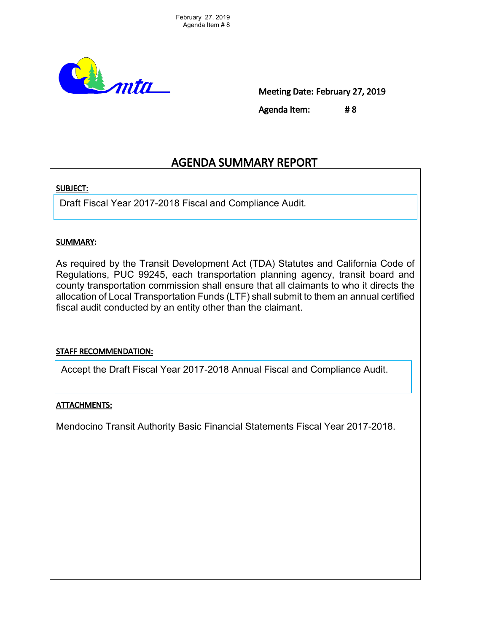

Meeting Date: February 27, 2019

Agenda Item: # 8

# AGENDA SUMMARY REPORT

## SUBJECT:

Draft Fiscal Year 2017-2018 Fiscal and Compliance Audit.

## SUMMARY:

As required by the Transit Development Act (TDA) Statutes and California Code of Regulations, PUC 99245, each transportation planning agency, transit board and county transportation commission shall ensure that all claimants to who it directs the allocation of Local Transportation Funds (LTF) shall submit to them an annual certified fiscal audit conducted by an entity other than the claimant.

# STAFF RECOMMENDATION:

Accept the Draft Fiscal Year 2017-2018 Annual Fiscal and Compliance Audit.

# ATTACHMENTS:

Mendocino Transit Authority Basic Financial Statements Fiscal Year 2017-2018.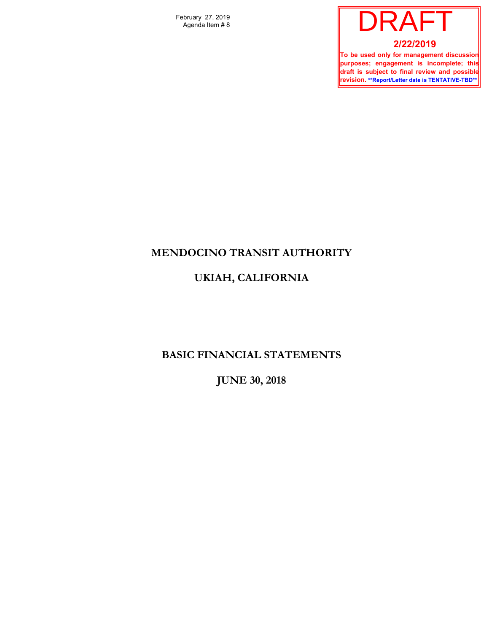February 27, 2019 Agenda Item # 8



**To be used only for management discussion purposes; engagement is incomplete; this draft is subject to final review and possible revision. \*\*Report/Letter date is TENTATIVE-TBD\*\***

# **MENDOCINO TRANSIT AUTHORITY**

# **UKIAH, CALIFORNIA**

# **BASIC FINANCIAL STATEMENTS**

**JUNE 30, 2018**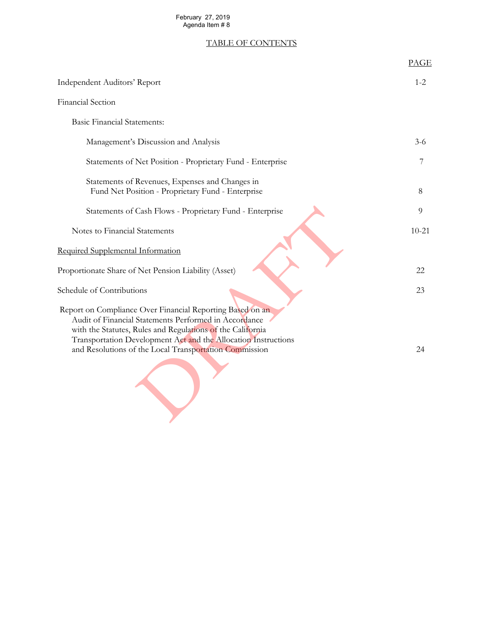# February 27, 2019<br>Agenda Item # 8

# TABLE OF CONTENTS

| February 27, 2019<br>Agenda Item #8                                                                                                                                                                                                                                                                          |             |
|--------------------------------------------------------------------------------------------------------------------------------------------------------------------------------------------------------------------------------------------------------------------------------------------------------------|-------------|
| <b>TABLE OF CONTENTS</b>                                                                                                                                                                                                                                                                                     |             |
|                                                                                                                                                                                                                                                                                                              | <b>PAGE</b> |
| Independent Auditors' Report                                                                                                                                                                                                                                                                                 | $1 - 2$     |
| Financial Section                                                                                                                                                                                                                                                                                            |             |
| <b>Basic Financial Statements:</b>                                                                                                                                                                                                                                                                           |             |
| Management's Discussion and Analysis                                                                                                                                                                                                                                                                         | $3 - 6$     |
| Statements of Net Position - Proprietary Fund - Enterprise                                                                                                                                                                                                                                                   | 7           |
| Statements of Revenues, Expenses and Changes in<br>Fund Net Position - Proprietary Fund - Enterprise                                                                                                                                                                                                         | 8           |
| Statements of Cash Flows - Proprietary Fund - Enterprise                                                                                                                                                                                                                                                     | 9           |
| Notes to Financial Statements                                                                                                                                                                                                                                                                                | $10 - 21$   |
| Required Supplemental Information                                                                                                                                                                                                                                                                            |             |
| Proportionate Share of Net Pension Liability (Asset)                                                                                                                                                                                                                                                         | 22          |
| Schedule of Contributions                                                                                                                                                                                                                                                                                    | 23          |
| Report on Compliance Over Financial Reporting Based on an<br>Audit of Financial Statements Performed in Accordance<br>with the Statutes, Rules and Regulations of the California<br>Transportation Development Act and the Allocation Instructions<br>and Resolutions of the Local Transportation Commission | 24          |
|                                                                                                                                                                                                                                                                                                              |             |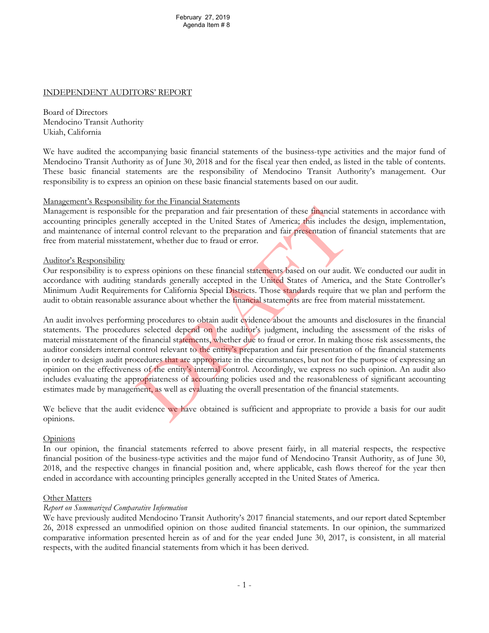#### INDEPENDENT AUDITORS' REPORT

Board of Directors Mendocino Transit Authority Ukiah, California

We have audited the accompanying basic financial statements of the business-type activities and the major fund of Mendocino Transit Authority as of June 30, 2018 and for the fiscal year then ended, as listed in the table of contents. These basic financial statements are the responsibility of Mendocino Transit Authority's management. Our responsibility is to express an opinion on these basic financial statements based on our audit.

#### Management's Responsibility for the Financial Statements

Management is responsible for the preparation and fair presentation of these financial statements in accordance with accounting principles generally accepted in the United States of America; this includes the design, implementation, and maintenance of internal control relevant to the preparation and fair presentation of financial statements that are free from material misstatement, whether due to fraud or error.

#### Auditor's Responsibility

Our responsibility is to express opinions on these financial statements based on our audit. We conducted our audit in accordance with auditing standards generally accepted in the United States of America, and the State Controller's Minimum Audit Requirements for California Special Districts. Those standards require that we plan and perform the audit to obtain reasonable assurance about whether the financial statements are free from material misstatement.

An audit involves performing procedures to obtain audit evidence about the amounts and disclosures in the financial statements. The procedures selected depend on the auditor's judgment, including the assessment of the risks of material misstatement of the financial statements, whether due to fraud or error. In making those risk assessments, the auditor considers internal control relevant to the entity's preparation and fair presentation of the financial statements in order to design audit procedures that are appropriate in the circumstances, but not for the purpose of expressing an opinion on the effectiveness of the entity's internal control. Accordingly, we express no such opinion. An audit also includes evaluating the appropriateness of accounting policies used and the reasonableness of significant accounting estimates made by management, as well as evaluating the overall presentation of the financial statements. February 27, 2019<br>
Agenda Item # 8<br>
Agenda Item # 8<br>
Agenda Item # 8<br>
Agenda Item # 8<br>
Agenda Item # 8<br>
Agenda Item # 8<br>
Agenda Item # 8<br>
Agenda Item and for the fiscal year then ended, as list<br>
turements are the responsib

We believe that the audit evidence we have obtained is sufficient and appropriate to provide a basis for our audit opinions.

#### Opinions

In our opinion, the financial statements referred to above present fairly, in all material respects, the respective financial position of the business-type activities and the major fund of Mendocino Transit Authority, as of June 30, 2018, and the respective changes in financial position and, where applicable, cash flows thereof for the year then ended in accordance with accounting principles generally accepted in the United States of America.

#### Other Matters

#### *Report on Summarized Comparative Information*

We have previously audited Mendocino Transit Authority's 2017 financial statements, and our report dated September 26, 2018 expressed an unmodified opinion on those audited financial statements. In our opinion, the summarized comparative information presented herein as of and for the year ended June 30, 2017, is consistent, in all material respects, with the audited financial statements from which it has been derived.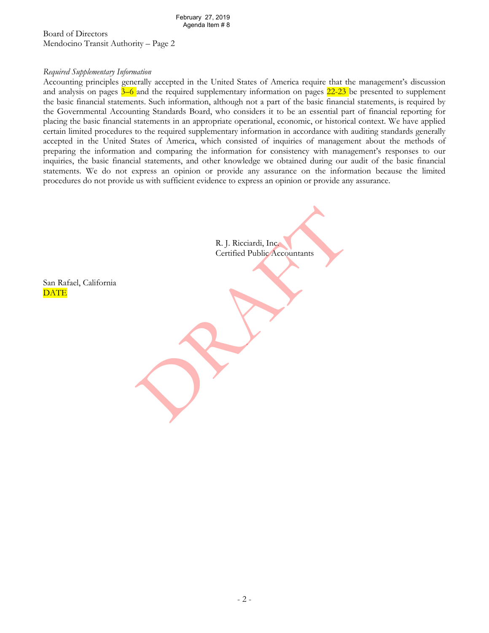Board of Directors Mendocino Transit Authority – Page 2

#### *Required Supplementary Information*

Accounting principles generally accepted in the United States of America require that the management's discussion and analysis on pages  $3-6$  and the required supplementary information on pages  $22-23$  be presented to supplement the basic financial statements. Such information, although not a part of the basic financial statements, is required by the Governmental Accounting Standards Board, who considers it to be an essential part of financial reporting for placing the basic financial statements in an appropriate operational, economic, or historical context. We have applied certain limited procedures to the required supplementary information in accordance with auditing standards generally accepted in the United States of America, which consisted of inquiries of management about the methods of preparing the information and comparing the information for consistency with management's responses to our inquiries, the basic financial statements, and other knowledge we obtained during our audit of the basic financial statements. We do not express an opinion or provide any assurance on the information because the limited procedures do not provide us with sufficient evidence to express an opinion or provide any assurance.



DATE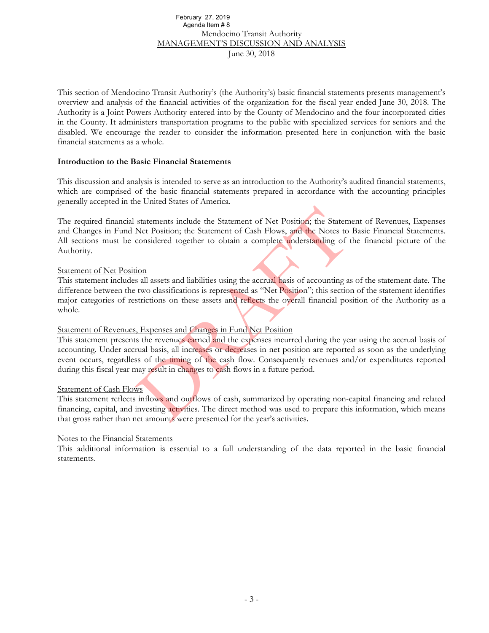# Mendocino Transit Authority MANAGEMENT'S DISCUSSION AND ANALYSIS June 30, 2018 Agenda Item # 8

This section of Mendocino Transit Authority's (the Authority's) basic financial statements presents management's overview and analysis of the financial activities of the organization for the fiscal year ended June 30, 2018. The Authority is a Joint Powers Authority entered into by the County of Mendocino and the four incorporated cities in the County. It administers transportation programs to the public with specialized services for seniors and the disabled. We encourage the reader to consider the information presented here in conjunction with the basic financial statements as a whole. February 27, 2019<br>
Mendonicon Transit Authority<br>
Mendonicon Transit Authority<br>
Mendonicon Transit Authority<br>
MANAGEMENT'S DISCUSSION AND ANALYSIS<br>
June 30, 2018<br>
Dura 30, 2018<br>
Dura 30, 2018<br>
Dura 30, 2018<br>
Dura 30, 2018<br>

#### **Introduction to the Basic Financial Statements**

This discussion and analysis is intended to serve as an introduction to the Authority's audited financial statements, which are comprised of the basic financial statements prepared in accordance with the accounting principles generally accepted in the United States of America.

The required financial statements include the Statement of Net Position; the Statement of Revenues, Expenses and Changes in Fund Net Position; the Statement of Cash Flows, and the Notes to Basic Financial Statements. All sections must be considered together to obtain a complete understanding of the financial picture of the Authority.

#### Statement of Net Position

This statement includes all assets and liabilities using the accrual basis of accounting as of the statement date. The difference between the two classifications is represented as "Net Position"; this section of the statement identifies major categories of restrictions on these assets and reflects the overall financial position of the Authority as a whole.

#### Statement of Revenues, Expenses and Changes in Fund Net Position

This statement presents the revenues earned and the expenses incurred during the year using the accrual basis of accounting. Under accrual basis, all increases or decreases in net position are reported as soon as the underlying event occurs, regardless of the timing of the cash flow. Consequently revenues and/or expenditures reported during this fiscal year may result in changes to cash flows in a future period.

#### Statement of Cash Flows

This statement reflects inflows and outflows of cash, summarized by operating non-capital financing and related financing, capital, and investing activities. The direct method was used to prepare this information, which means that gross rather than net amounts were presented for the year's activities.

#### Notes to the Financial Statements

This additional information is essential to a full understanding of the data reported in the basic financial statements.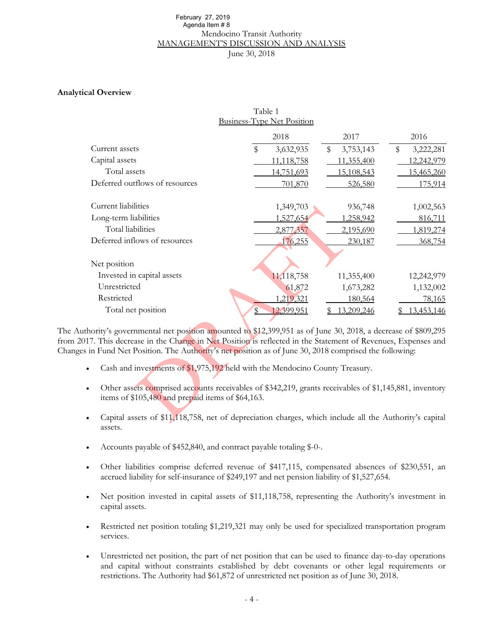# Mendocino Transit Authority MANAGEMENT'S DISCUSSION AND ANALYSIS June 30, 2018 Agenda Item # 8

#### **Analytical Overview**

| February 27, 2019<br>Agenda Item #8                                                                     |                                             |                 |                 |
|---------------------------------------------------------------------------------------------------------|---------------------------------------------|-----------------|-----------------|
|                                                                                                         | Mendocino Transit Authority                 |                 |                 |
|                                                                                                         | <b>MANAGEMENT'S DISCUSSION AND ANALYSIS</b> |                 |                 |
|                                                                                                         | June 30, 2018                               |                 |                 |
|                                                                                                         |                                             |                 |                 |
|                                                                                                         |                                             |                 |                 |
| al Overview                                                                                             |                                             |                 |                 |
|                                                                                                         | Table 1                                     |                 |                 |
|                                                                                                         | <b>Business-Type Net Position</b>           |                 |                 |
|                                                                                                         | 2018                                        | 2017            | 2016            |
| Current assets                                                                                          | \$<br>3,632,935                             | 3,753,143<br>\$ | \$<br>3,222,281 |
| Capital assets                                                                                          | 11,118,758                                  | 11,355,400      | 12,242,979      |
| Total assets                                                                                            | 14,751,693                                  | 15,108,543      | 15,465,260      |
| Deferred outflows of resources                                                                          | 701,870                                     | 526,580         | 175,914         |
|                                                                                                         |                                             |                 |                 |
| Current liabilities                                                                                     | 1,349,703                                   | 936,748         | 1,002,563       |
| Long-term liabilities                                                                                   | 1,527,654                                   | 1,258,942       | 816,711         |
| Total liabilities                                                                                       | 2,877,357                                   | 2,195,690       | 1,819,274       |
| Deferred inflows of resources                                                                           | 176,255                                     | 230,187         | 368,754         |
| Net position                                                                                            |                                             |                 |                 |
| Invested in capital assets                                                                              |                                             |                 |                 |
| Unrestricted                                                                                            | 11,118,758                                  | 11,355,400      | 12,242,979      |
| Restricted                                                                                              | 61,872                                      | 1,673,282       | 1,132,002       |
|                                                                                                         | 1,219,321                                   | 180,564         | 78,165          |
| Total net position                                                                                      | 12,399,951<br>$\mathbb{S}$                  | 13,209,246      | 13,453,146      |
| ority's governmental net position amounted to \$12,399,951 as of June 30, 2018, a decrease of \$809,295 |                                             |                 |                 |
| 7. This decrease in the Change in Net Position is reflected in the Statement of Revenues, Expenses and  |                                             |                 |                 |
| in Fund Net Position. The Authority's net position as of June 30, 2018 comprised the following:         |                                             |                 |                 |
| Cash and investments of \$1,975,192 held with the Mendocino County Treasury.                            |                                             |                 |                 |
|                                                                                                         |                                             |                 |                 |
| Other assets comprised accounts receivables of \$342,219, grants receivables of \$1,145,881, inventory  |                                             |                 |                 |
| items of \$105,480 and prepaid items of \$64,163.                                                       |                                             |                 |                 |
|                                                                                                         |                                             |                 |                 |
| Capital assets of \$11,118,758, net of depreciation charges, which include all the Authority's capital  |                                             |                 |                 |

The Authority's governmental net position amounted to \$12,399,951 as of June 30, 2018, a decrease of \$809,295 from 2017. This decrease in the Change in Net Position is reflected in the Statement of Revenues, Expenses and Changes in Fund Net Position. The Authority's net position as of June 30, 2018 comprised the following:

- Cash and investments of \$1,975,192 held with the Mendocino County Treasury.
- Other assets comprised accounts receivables of \$342,219, grants receivables of \$1,145,881, inventory items of \$105,480 and prepaid items of \$64,163.
- Capital assets of \$11,118,758, net of depreciation charges, which include all the Authority's capital assets.
- Accounts payable of \$452,840, and contract payable totaling \$-0-.
- Other liabilities comprise deferred revenue of \$417,115, compensated absences of \$230,551, an accrued liability for self-insurance of \$249,197 and net pension liability of \$1,527,654.
- Net position invested in capital assets of \$11,118,758, representing the Authority's investment in capital assets.
- Restricted net position totaling \$1,219,321 may only be used for specialized transportation program services.
- Unrestricted net position, the part of net position that can be used to finance day-to-day operations and capital without constraints established by debt covenants or other legal requirements or restrictions. The Authority had \$61,872 of unrestricted net position as of June 30, 2018.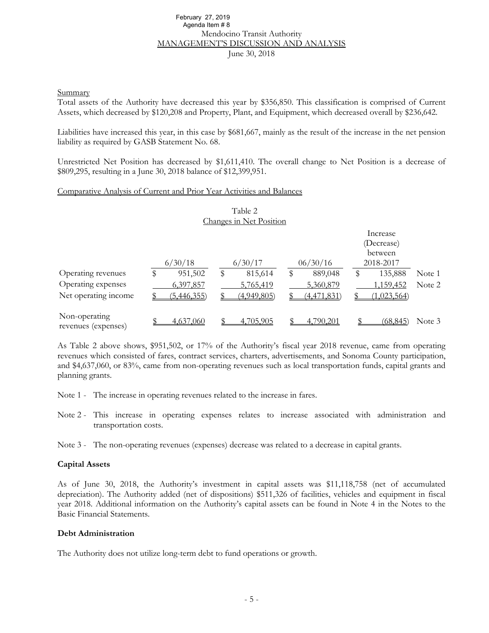#### Mendocino Transit Authority MANAGEMENT'S DISCUSSION AND ANALYSIS June 30, 2018 February 27, 2019 Agenda Item # 8

#### **Summary**

Total assets of the Authority have decreased this year by \$356,850. This classification is comprised of Current Assets, which decreased by \$120,208 and Property, Plant, and Equipment, which decreased overall by \$236,642.

Liabilities have increased this year, in this case by \$681,667, mainly as the result of the increase in the net pension liability as required by GASB Statement No. 68.

Unrestricted Net Position has decreased by \$1,611,410. The overall change to Net Position is a decrease of \$809,295, resulting in a June 30, 2018 balance of \$12,399,951.

#### Comparative Analysis of Current and Prior Year Activities and Balances

| Table 2<br>Changes in Net Position                               |         |                                       |    |                                     |  |                                       |    |                                                |                  |
|------------------------------------------------------------------|---------|---------------------------------------|----|-------------------------------------|--|---------------------------------------|----|------------------------------------------------|------------------|
|                                                                  | 6/30/18 |                                       |    | 6/30/17                             |  | 06/30/16                              |    | Increase<br>(Decrease)<br>between<br>2018-2017 |                  |
| Operating revenues<br>Operating expenses<br>Net operating income |         | 951,502<br>6,397,857<br>(5, 446, 355) | \$ | 815,614<br>5,765,419<br>(4,949,805) |  | 889,048<br>5,360,879<br>(4, 471, 831) | \$ | 135,888<br>1,159,452<br>(1,023,564)            | Note 1<br>Note 2 |
| Non-operating<br>revenues (expenses)                             |         | 4,637,060                             |    | 4,705,905                           |  | 4,790,201                             |    | (68, 845)                                      | Note 3           |

As Table 2 above shows, \$951,502, or 17% of the Authority's fiscal year 2018 revenue, came from operating revenues which consisted of fares, contract services, charters, advertisements, and Sonoma County participation, and \$4,637,060, or 83%, came from non-operating revenues such as local transportation funds, capital grants and planning grants.

- Note 1 The increase in operating revenues related to the increase in fares.
- Note 2 This increase in operating expenses relates to increase associated with administration and transportation costs.
- Note 3 The non-operating revenues (expenses) decrease was related to a decrease in capital grants.

#### **Capital Assets**

As of June 30, 2018, the Authority's investment in capital assets was \$11,118,758 (net of accumulated depreciation). The Authority added (net of dispositions) \$511,326 of facilities, vehicles and equipment in fiscal year 2018. Additional information on the Authority's capital assets can be found in Note 4 in the Notes to the Basic Financial Statements.

#### **Debt Administration**

The Authority does not utilize long-term debt to fund operations or growth.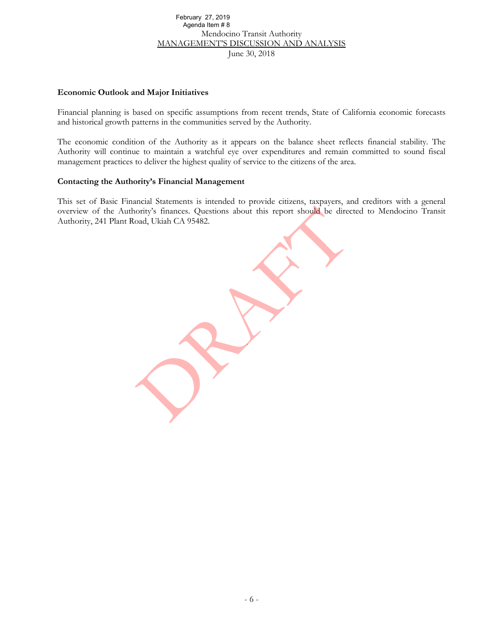# Mendocino Transit Authority MANAGEMENT'S DISCUSSION AND ANALYSIS June 30, 2018 February 27, 2019<br>
Mendolecino Transit Authority<br>
Mendolecino Transit Authority<br>
MANAGEMENT'S DISCUSSION AND ANALYSIS<br>
June 30, 2018<br>
and Major Initiatives<br>
June 30, 2018<br>
and Major Initiatives<br>
sphere 30, 2019<br>
and Major Agenda Item # 8

#### **Economic Outlook and Major Initiatives**

Financial planning is based on specific assumptions from recent trends, State of California economic forecasts and historical growth patterns in the communities served by the Authority.

The economic condition of the Authority as it appears on the balance sheet reflects financial stability. The Authority will continue to maintain a watchful eye over expenditures and remain committed to sound fiscal management practices to deliver the highest quality of service to the citizens of the area.

#### **Contacting the Authority's Financial Management**

This set of Basic Financial Statements is intended to provide citizens, taxpayers, and creditors with a general overview of the Authority's finances. Questions about this report should be directed to Mendocino Transit Authority, 241 Plant Road, Ukiah CA 95482.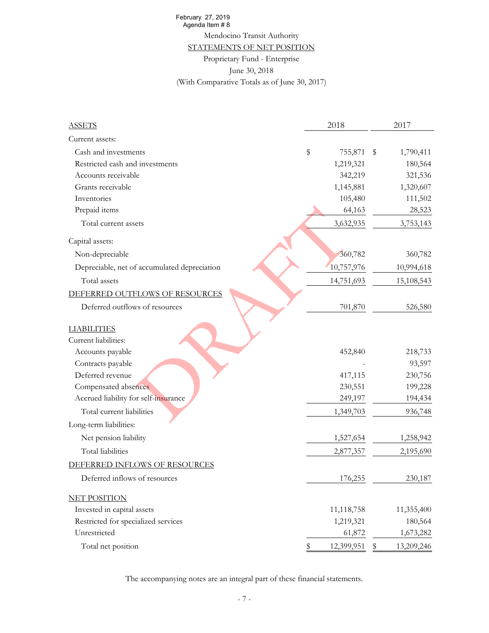# Mendocino Transit Authority

#### STATEMENTS OF NET POSITION

#### Proprietary Fund - Enterprise

| February 27, 2019                             |                  |                  |
|-----------------------------------------------|------------------|------------------|
| Agenda Item #8<br>Mendocino Transit Authority |                  |                  |
| STATEMENTS OF NET POSITION                    |                  |                  |
| Proprietary Fund - Enterprise                 |                  |                  |
| June 30, 2018                                 |                  |                  |
| (With Comparative Totals as of June 30, 2017) |                  |                  |
|                                               |                  |                  |
|                                               |                  |                  |
| <b>ASSETS</b>                                 | 2018             | 2017             |
| Current assets:                               |                  |                  |
| Cash and investments                          | \$<br>755,871    | \$<br>1,790,411  |
| Restricted cash and investments               | 1,219,321        | 180,564          |
| Accounts receivable                           | 342,219          | 321,536          |
| Grants receivable                             | 1,145,881        | 1,320,607        |
| Inventories                                   | 105,480          | 111,502          |
| Prepaid items                                 | 64,163           | 28,523           |
| Total current assets                          | 3,632,935        | 3,753,143        |
| Capital assets:                               |                  |                  |
| Non-depreciable                               | 360,782          | 360,782          |
| Depreciable, net of accumulated depreciation  | 10,757,976       | 10,994,618       |
| Total assets                                  | 14,751,693       | 15,108,543       |
| DEFERRED OUTFLOWS OF RESOURCES                |                  |                  |
| Deferred outflows of resources                | 701,870          | 526,580          |
|                                               |                  |                  |
| <b>LIABILITIES</b><br>Current liabilities:    |                  |                  |
| Accounts payable                              | 452,840          | 218,733          |
| Contracts payable                             |                  | 93,597           |
| Deferred revenue                              | 417,115          | 230,756          |
| Compensated absences                          | 230,551          | 199,228          |
| Accrued liability for self-insurance          | 249,197          | 194,434          |
| Total current liabilities                     | 1,349,703        | 936,748          |
| Long-term liabilities:                        |                  |                  |
| Net pension liability                         | 1,527,654        | 1,258,942        |
| Total liabilities                             | 2,877,357        | 2,195,690        |
| DEFERRED INFLOWS OF RESOURCES                 |                  |                  |
| Deferred inflows of resources                 | 176,255          | 230,187          |
|                                               |                  |                  |
| <b>NET POSITION</b>                           |                  |                  |
| Invested in capital assets                    | 11,118,758       | 11,355,400       |
| Restricted for specialized services           | 1,219,321        | 180,564          |
| Unrestricted                                  | 61,872           | 1,673,282        |
| Total net position                            | \$<br>12,399,951 | \$<br>13,209,246 |

The accompanying notes are an integral part of these financial statements.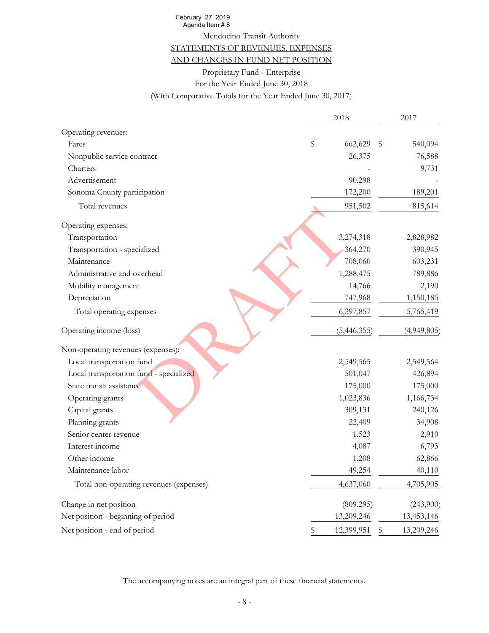#### STATEMENTS OF REVENUES, EXPENSES

#### AND CHANGES IN FUND NET POSITION

| February 27, 2019<br>Agenda Item #8                        |      |                  |             |
|------------------------------------------------------------|------|------------------|-------------|
| Mendocino Transit Authority                                |      |                  |             |
| STATEMENTS OF REVENUES, EXPENSES                           |      |                  |             |
| AND CHANGES IN FUND NET POSITION                           |      |                  |             |
| Proprietary Fund - Enterprise                              |      |                  |             |
| For the Year Ended June 30, 2018                           |      |                  |             |
| (With Comparative Totals for the Year Ended June 30, 2017) |      |                  |             |
|                                                            |      |                  |             |
|                                                            | 2018 |                  | 2017        |
| Operating revenues:                                        |      |                  |             |
| Fares                                                      | \$   | 662,629<br>\$    | 540,094     |
| Nonpublic service contract                                 |      | 26,375           | 76,588      |
| Charters                                                   |      |                  | 9,731       |
| Advertisement                                              |      | 90,298           |             |
| Sonoma County participation                                |      | 172,200          | 189,201     |
| Total revenues                                             |      | 951,502          | 815,614     |
|                                                            |      |                  |             |
| Operating expenses:                                        |      |                  |             |
| Transportation                                             |      | 3,274,318        | 2,828,982   |
| Transportation - specialized                               |      | 364,270          | 390,945     |
| Maintenance                                                |      | 708,060          | 603,231     |
| Administrative and overhead                                |      | 1,288,475        | 789,886     |
| Mobility management                                        |      | 14,766           | 2,190       |
| Depreciation                                               |      | 747,968          | 1,150,185   |
| Total operating expenses                                   |      | 6,397,857        | 5,765,419   |
| Operating income (loss)                                    |      | (5,446,355)      | (4,949,805) |
| Non-operating revenues (expenses):                         |      |                  |             |
| Local transportation fund                                  |      | 2,549,565        | 2,549,564   |
| Local transportation fund - specialized                    |      | 501,047          | 426,894     |
| State transit assistance                                   |      | 175,000          | 175,000     |
| Operating grants                                           |      | 1,023,836        | 1,166,734   |
| Capital grants                                             |      | 309,131          | 240,126     |
| Planning grants                                            |      | 22,409           | 34,908      |
| Senior center revenue                                      |      | 1,523            | 2,910       |
| Interest income                                            |      | 4,087            | 6,793       |
| Other income                                               |      | 1,208            | 62,866      |
| Maintenance labor                                          |      | 49,254           | 40,110      |
| Total non-operating revenues (expenses)                    |      | 4,637,060        | 4,705,905   |
| Change in net position                                     |      | (809, 295)       | (243,900)   |
| Net position - beginning of period                         |      | 13,209,246       | 13,453,146  |
| Net position - end of period                               | \$   | 12,399,951<br>\$ | 13,209,246  |

The accompanying notes are an integral part of these financial statements.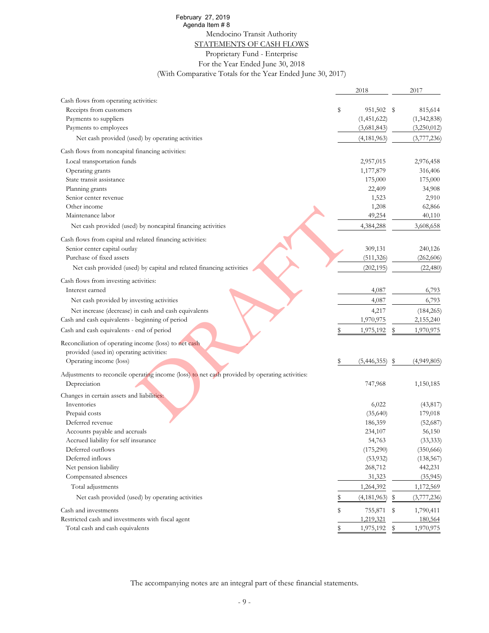#### STATEMENTS OF CASH FLOWS

| February 27, 2019                                                                              |    |             |      |                      |
|------------------------------------------------------------------------------------------------|----|-------------|------|----------------------|
| Agenda Item #8                                                                                 |    |             |      |                      |
| Mendocino Transit Authority                                                                    |    |             |      |                      |
| STATEMENTS OF CASH FLOWS                                                                       |    |             |      |                      |
| Proprietary Fund - Enterprise                                                                  |    |             |      |                      |
| For the Year Ended June 30, 2018                                                               |    |             |      |                      |
| (With Comparative Totals for the Year Ended June 30, 2017)                                     |    |             |      |                      |
|                                                                                                |    |             |      |                      |
|                                                                                                |    | 2018        |      | 2017                 |
| Cash flows from operating activities:                                                          |    |             |      |                      |
| Receipts from customers                                                                        | s  | 951,502     | - \$ | 815,614              |
| Payments to suppliers                                                                          |    | (1,451,622) |      | (1,342,838)          |
| Payments to employees                                                                          |    | (3,681,843) |      | (3,250,012)          |
| Net cash provided (used) by operating activities                                               |    | (4,181,963) |      | (3,777,236)          |
| Cash flows from noncapital financing activities:                                               |    |             |      |                      |
| Local transportation funds                                                                     |    | 2,957,015   |      | 2,976,458            |
| Operating grants                                                                               |    | 1,177,879   |      | 316,406              |
| State transit assistance                                                                       |    | 175,000     |      | 175,000              |
| Planning grants                                                                                |    | 22,409      |      | 34,908               |
| Senior center revenue                                                                          |    | 1,523       |      | 2,910                |
| Other income                                                                                   |    | 1,208       |      | 62,866               |
| Maintenance labor                                                                              |    | 49,254      |      | 40,110               |
| Net cash provided (used) by noncapital financing activities                                    |    | 4,384,288   |      | 3,608,658            |
| Cash flows from capital and related financing activities:                                      |    |             |      |                      |
| Senior center capital outlay                                                                   |    | 309,131     |      | 240,126              |
| Purchase of fixed assets                                                                       |    | (511, 326)  |      | (262, 606)           |
|                                                                                                |    |             |      |                      |
| Net cash provided (used) by capital and related financing activities                           |    | (202, 195)  |      | (22, 480)            |
| Cash flows from investing activities:                                                          |    |             |      |                      |
| Interest earned                                                                                |    | 4,087       |      | 6,793                |
| Net cash provided by investing activities                                                      |    | 4,087       |      | 6,793                |
| Net increase (decrease) in cash and cash equivalents                                           |    | 4,217       |      | (184, 265)           |
| Cash and cash equivalents - beginning of period                                                |    | 1,970,975   |      | 2,155,240            |
| Cash and cash equivalents - end of period                                                      |    | 1,975,192   | S    | 1,970,975            |
| Reconciliation of operating income (loss) to net cash                                          |    |             |      |                      |
| provided (used in) operating activities:                                                       |    |             |      |                      |
| Operating income (loss)                                                                        | s  | (5,446,355) | S    | (4,949,805)          |
| Adjustments to reconcile operating income (loss) to net cash provided by operating activities: |    |             |      |                      |
| Depreciation                                                                                   |    | 747,968     |      | 1,150,185            |
| Changes in certain assets and liabilities:                                                     |    |             |      |                      |
| Inventories                                                                                    |    | 6,022       |      | (43, 817)            |
| Prepaid costs                                                                                  |    | (35,640)    |      | 179,018              |
| Deferred revenue                                                                               |    | 186,359     |      | (52,687)             |
| Accounts payable and accruals                                                                  |    | 234,107     |      | 56,150               |
| Accrued liability for self insurance                                                           |    | 54,763      |      | (33, 333)            |
| Deferred outflows                                                                              |    | (175,290)   |      | (350, 666)           |
| Deferred inflows                                                                               |    | (53, 932)   |      | (138, 567)           |
| Net pension liability                                                                          |    | 268,712     |      | 442,231              |
| Compensated absences                                                                           |    | 31,323      |      | (35, 945)            |
| Total adjustments                                                                              |    | 1,264,392   |      | 1,172,569            |
| Net cash provided (used) by operating activities                                               | \$ | (4,181,963) | Ş    | (3,777,236)          |
|                                                                                                |    |             |      |                      |
| Cash and investments                                                                           | \$ | 755,871     | -S   | 1,790,411            |
| Restricted cash and investments with fiscal agent<br>Total cash and cash equivalents           | \$ | 1,219,321   |      | 180,564<br>1,970,975 |
|                                                                                                |    | 1,975,192   | \$   |                      |

The accompanying notes are an integral part of these financial statements.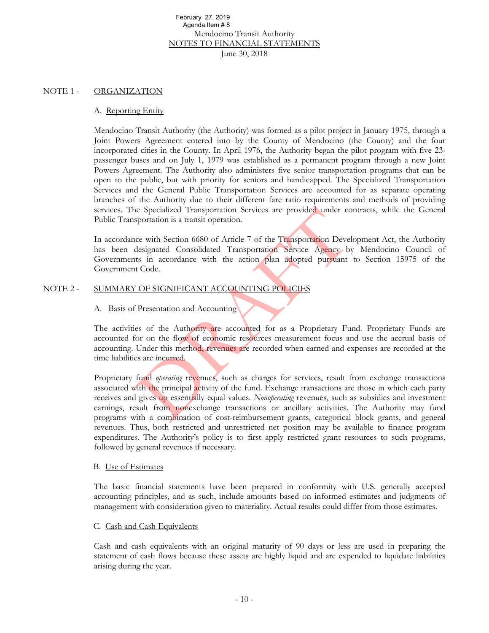#### NOTE 1 - ORGANIZATION

#### A. Reporting Entity

Mendocino Transit Authority (the Authority) was formed as a pilot project in January 1975, through a Joint Powers Agreement entered into by the County of Mendocino (the County) and the four incorporated cities in the County. In April 1976, the Authority began the pilot program with five 23 passenger buses and on July 1, 1979 was established as a permanent program through a new Joint Powers Agreement. The Authority also administers five senior transportation programs that can be open to the public, but with priority for seniors and handicapped. The Specialized Transportation Services and the General Public Transportation Services are accounted for as separate operating branches of the Authority due to their different fare ratio requirements and methods of providing services. The Specialized Transportation Services are provided under contracts, while the General Public Transportation is a transit operation. February 27, 2019<br> **Exploration** Chemical Association of Agendaltem #8<br>
Mendocion Cransit Authority<br>
Norman 2019<br>
New 30, 2018<br>
June 30, 2018<br>
June 30, 2018<br>
Transit Authority (the Authority) was formed as a pilot project<br>

In accordance with Section 6680 of Article 7 of the Transportation Development Act, the Authority has been designated Consolidated Transportation Service Agency by Mendocino Council of Governments in accordance with the action plan adopted pursuant to Section 15975 of the Government Code.

#### NOTE 2 - SUMMARY OF SIGNIFICANT ACCOUNTING POLICIES

#### A. Basis of Presentation and Accounting

The activities of the Authority are accounted for as a Proprietary Fund. Proprietary Funds are accounted for on the flow of economic resources measurement focus and use the accrual basis of accounting. Under this method, revenues are recorded when earned and expenses are recorded at the time liabilities are incurred.

Proprietary fund *operating* revenues, such as charges for services, result from exchange transactions associated with the principal activity of the fund. Exchange transactions are those in which each party receives and gives up essentially equal values. *Nonoperating* revenues, such as subsidies and investment earnings, result from nonexchange transactions or ancillary activities. The Authority may fund programs with a combination of cost-reimbursement grants, categorical block grants, and general revenues. Thus, both restricted and unrestricted net position may be available to finance program expenditures. The Authority's policy is to first apply restricted grant resources to such programs, followed by general revenues if necessary.

#### B. Use of Estimates

The basic financial statements have been prepared in conformity with U.S. generally accepted accounting principles, and as such, include amounts based on informed estimates and judgments of management with consideration given to materiality. Actual results could differ from those estimates.

#### C. Cash and Cash Equivalents

Cash and cash equivalents with an original maturity of 90 days or less are used in preparing the statement of cash flows because these assets are highly liquid and are expended to liquidate liabilities arising during the year.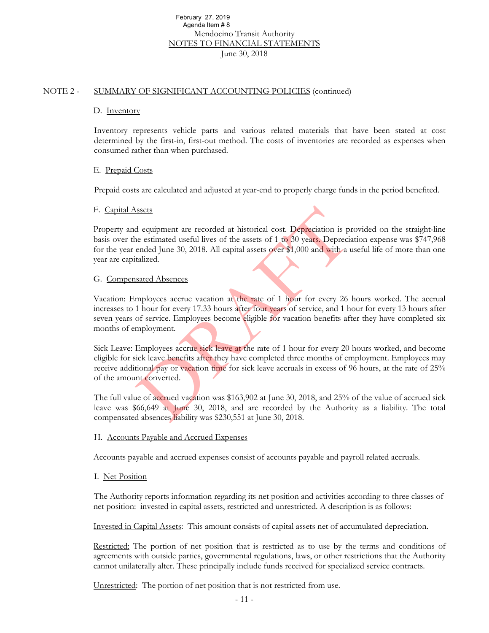#### NOTE 2 - SUMMARY OF SIGNIFICANT ACCOUNTING POLICIES (continued)

#### D. Inventory

Inventory represents vehicle parts and various related materials that have been stated at cost determined by the first-in, first-out method. The costs of inventories are recorded as expenses when consumed rather than when purchased.

#### E. Prepaid Costs

Prepaid costs are calculated and adjusted at year-end to properly charge funds in the period benefited.

#### F. Capital Assets

Property and equipment are recorded at historical cost. Depreciation is provided on the straight-line basis over the estimated useful lives of the assets of 1 to 30 years. Depreciation expense was \$747,968 for the year ended June 30, 2018. All capital assets over \$1,000 and with a useful life of more than one year are capitalized. February 27, 2019<br>
Agenda Item #8<br>
Mendocion Transit Authority<br>
Northcoin o Transit Authority<br>
June 30, 2018<br>
OF STGNIFICANT ACCOUNTITNG POLICIES (continued)<br>
TV<br>
TV<br>
TV<br>
TV<br>
TV<br>
TV<br>
COF STGNIFICANT ACCOUNTITNG POLICIES (

#### G. Compensated Absences

Vacation: Employees accrue vacation at the rate of 1 hour for every 26 hours worked. The accrual increases to 1 hour for every 17.33 hours after four years of service, and 1 hour for every 13 hours after seven years of service. Employees become eligible for vacation benefits after they have completed six months of employment.

Sick Leave: Employees accrue sick leave at the rate of 1 hour for every 20 hours worked, and become eligible for sick leave benefits after they have completed three months of employment. Employees may receive additional pay or vacation time for sick leave accruals in excess of 96 hours, at the rate of 25% of the amount converted.

The full value of accrued vacation was \$163,902 at June 30, 2018, and 25% of the value of accrued sick leave was \$66,649 at June 30, 2018, and are recorded by the Authority as a liability. The total compensated absences liability was \$230,551 at June 30, 2018.

#### H. Accounts Payable and Accrued Expenses

Accounts payable and accrued expenses consist of accounts payable and payroll related accruals.

#### I. Net Position

The Authority reports information regarding its net position and activities according to three classes of net position: invested in capital assets, restricted and unrestricted. A description is as follows:

Invested in Capital Assets: This amount consists of capital assets net of accumulated depreciation.

Restricted: The portion of net position that is restricted as to use by the terms and conditions of agreements with outside parties, governmental regulations, laws, or other restrictions that the Authority cannot unilaterally alter. These principally include funds received for specialized service contracts.

Unrestricted: The portion of net position that is not restricted from use.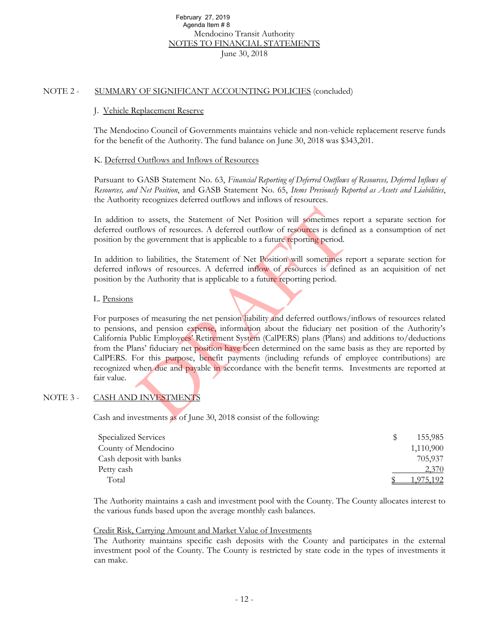#### NOTE 2 - SUMMARY OF SIGNIFICANT ACCOUNTING POLICIES (concluded)

#### J. Vehicle Replacement Reserve

The Mendocino Council of Governments maintains vehicle and non-vehicle replacement reserve funds for the benefit of the Authority. The fund balance on June 30, 2018 was \$343,201.

#### K. Deferred Outflows and Inflows of Resources

Pursuant to GASB Statement No. 63, *Financial Reporting of Deferred Outflows of Resources, Deferred Inflows of Resources, and Net Position*, and GASB Statement No. 65, *Items Previously Reported as Assets and Liabilities*, the Authority recognizes deferred outflows and inflows of resources.

In addition to assets, the Statement of Net Position will sometimes report a separate section for deferred outflows of resources. A deferred outflow of resources is defined as a consumption of net position by the government that is applicable to a future reporting period.

In addition to liabilities, the Statement of Net Position will sometimes report a separate section for deferred inflows of resources. A deferred inflow of resources is defined as an acquisition of net position by the Authority that is applicable to a future reporting period.

#### L. Pensions

For purposes of measuring the net pension liability and deferred outflows/inflows of resources related to pensions, and pension expense, information about the fiduciary net position of the Authority's California Public Employees' Retirement System (CalPERS) plans (Plans) and additions to/deductions from the Plans' fiduciary net position have been determined on the same basis as they are reported by CalPERS. For this purpose, benefit payments (including refunds of employee contributions) are recognized when due and payable in accordance with the benefit terms. Investments are reported at fair value. February 27, 2019<br>
Agenda Item #8<br>
Mendocion Transit Authority<br>
NeroLocion Transit Authority<br>
NOTES TO FINANCIAL STATEMENTS<br>
June 30, 2018<br>
COF SIGNIFICANT ACCOUNTING POLICIES (concluded)<br>
Replacement Reserve<br>
cino Council

#### NOTE 3 - CASH AND INVESTMENTS

Cash and investments as of June 30, 2018 consist of the following:

| Specialized Services    | 155.985   |
|-------------------------|-----------|
| County of Mendocino     | 1,110,900 |
| Cash deposit with banks | 705.937   |
| Petty cash              | 2,370     |
| Total                   | .975.192  |

The Authority maintains a cash and investment pool with the County. The County allocates interest to the various funds based upon the average monthly cash balances.

#### Credit Risk, Carrying Amount and Market Value of Investments

The Authority maintains specific cash deposits with the County and participates in the external investment pool of the County. The County is restricted by state code in the types of investments it can make.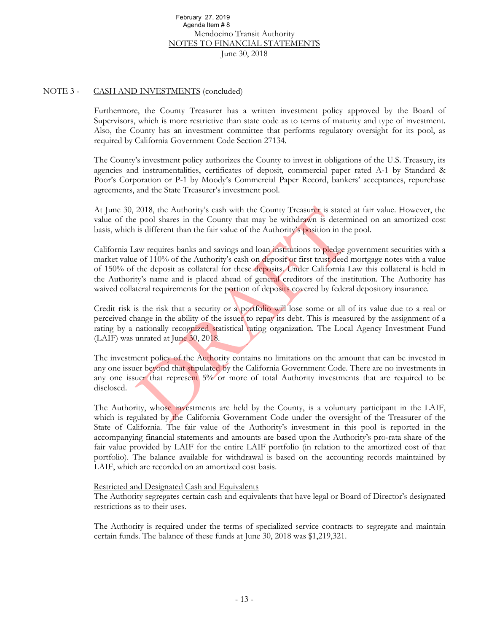#### NOTE 3 - CASH AND INVESTMENTS (concluded)

Furthermore, the County Treasurer has a written investment policy approved by the Board of Supervisors, which is more restrictive than state code as to terms of maturity and type of investment. Also, the County has an investment committee that performs regulatory oversight for its pool, as required by California Government Code Section 27134.

The County's investment policy authorizes the County to invest in obligations of the U.S. Treasury, its agencies and instrumentalities, certificates of deposit, commercial paper rated A-1 by Standard & Poor's Corporation or P-1 by Moody's Commercial Paper Record, bankers' acceptances, repurchase agreements, and the State Treasurer's investment pool.

At June 30, 2018, the Authority's cash with the County Treasurer is stated at fair value. However, the value of the pool shares in the County that may be withdrawn is determined on an amortized cost basis, which is different than the fair value of the Authority's position in the pool.

California Law requires banks and savings and loan institutions to pledge government securities with a market value of 110% of the Authority's cash on deposit or first trust deed mortgage notes with a value of 150% of the deposit as collateral for these deposits. Under California Law this collateral is held in the Authority's name and is placed ahead of general creditors of the institution. The Authority has waived collateral requirements for the portion of deposits covered by federal depository insurance. February 27, 2019<br>
Mendolacom Fasist Authority<br>
Mendolacom Transist Authority<br>
Nerdockino Transist Authority<br>
June 30, 2018<br>
Nerdockino Transist Authority<br>
June 30, 2018<br>
e, the County Treasurer has a written investment po

Credit risk is the risk that a security or a portfolio will lose some or all of its value due to a real or perceived change in the ability of the issuer to repay its debt. This is measured by the assignment of a rating by a nationally recognized statistical rating organization. The Local Agency Investment Fund (LAIF) was unrated at June 30, 2018.

The investment policy of the Authority contains no limitations on the amount that can be invested in any one issuer beyond that stipulated by the California Government Code. There are no investments in any one issuer that represent 5% or more of total Authority investments that are required to be disclosed.

The Authority, whose investments are held by the County, is a voluntary participant in the LAIF, which is regulated by the California Government Code under the oversight of the Treasurer of the State of California. The fair value of the Authority's investment in this pool is reported in the accompanying financial statements and amounts are based upon the Authority's pro-rata share of the fair value provided by LAIF for the entire LAIF portfolio (in relation to the amortized cost of that portfolio). The balance available for withdrawal is based on the accounting records maintained by LAIF, which are recorded on an amortized cost basis.

#### Restricted and Designated Cash and Equivalents

The Authority segregates certain cash and equivalents that have legal or Board of Director's designated restrictions as to their uses.

The Authority is required under the terms of specialized service contracts to segregate and maintain certain funds. The balance of these funds at June 30, 2018 was \$1,219,321.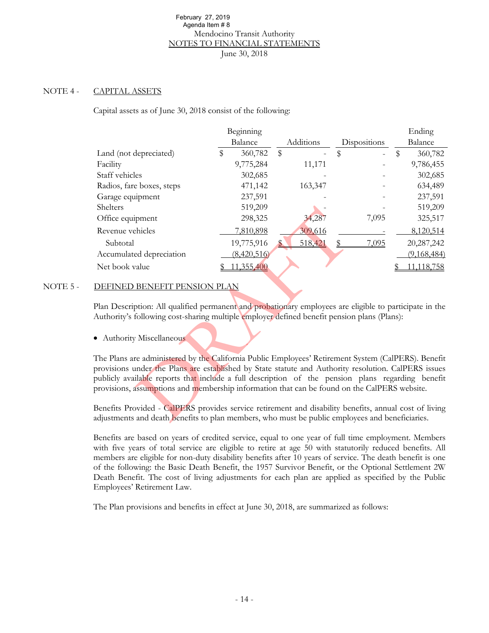#### NOTE 4 - CAPITAL ASSETS

| February 27, 2019                                                                                                                                                                                      | Agenda Item #8 |                                                |    |           |    |              |                           |             |
|--------------------------------------------------------------------------------------------------------------------------------------------------------------------------------------------------------|----------------|------------------------------------------------|----|-----------|----|--------------|---------------------------|-------------|
|                                                                                                                                                                                                        |                | Mendocino Transit Authority                    |    |           |    |              |                           |             |
|                                                                                                                                                                                                        |                | NOTES TO FINANCIAL STATEMENTS<br>June 30, 2018 |    |           |    |              |                           |             |
|                                                                                                                                                                                                        |                |                                                |    |           |    |              |                           |             |
|                                                                                                                                                                                                        |                |                                                |    |           |    |              |                           |             |
| CAPITAL ASSETS                                                                                                                                                                                         |                |                                                |    |           |    |              |                           |             |
|                                                                                                                                                                                                        |                |                                                |    |           |    |              |                           |             |
| Capital assets as of June 30, 2018 consist of the following:                                                                                                                                           |                |                                                |    |           |    |              |                           |             |
|                                                                                                                                                                                                        |                | Beginning                                      |    |           |    |              |                           | Ending      |
|                                                                                                                                                                                                        |                | Balance                                        |    | Additions |    | Dispositions |                           | Balance     |
| Land (not depreciated)                                                                                                                                                                                 | \$             | 360,782                                        | \$ |           | \$ |              | $\boldsymbol{\mathsf{S}}$ | 360,782     |
| Facility                                                                                                                                                                                               |                | 9,775,284                                      |    | 11,171    |    |              |                           | 9,786,455   |
| Staff vehicles                                                                                                                                                                                         |                | 302,685                                        |    |           |    |              |                           | 302,685     |
| Radios, fare boxes, steps                                                                                                                                                                              |                | 471,142                                        |    | 163,347   |    |              |                           | 634,489     |
| Garage equipment                                                                                                                                                                                       |                | 237,591                                        |    |           |    |              |                           | 237,591     |
| Shelters                                                                                                                                                                                               |                | 519,209                                        |    |           |    |              |                           | 519,209     |
| Office equipment                                                                                                                                                                                       |                | 298,325                                        |    | 34,287    |    | 7,095        |                           | 325,517     |
| Revenue vehicles                                                                                                                                                                                       |                | 7,810,898                                      |    | 309,616   |    |              |                           | 8,120,514   |
| Subtotal                                                                                                                                                                                               |                | 19,775,916                                     |    | 518,421   | S  | 7,095        |                           | 20,287,242  |
| Accumulated depreciation                                                                                                                                                                               |                | (8,420,516)                                    |    |           |    |              |                           | (9,168,484) |
| Net book value                                                                                                                                                                                         |                | 11,355,400                                     |    |           |    |              |                           | 11,118,758  |
|                                                                                                                                                                                                        |                |                                                |    |           |    |              |                           |             |
| DEFINED BENEFIT PENSION PLAN                                                                                                                                                                           |                |                                                |    |           |    |              |                           |             |
|                                                                                                                                                                                                        |                |                                                |    |           |    |              |                           |             |
| Plan Description: All qualified permanent and probationary employees are eligible to participate in the<br>Authority's following cost-sharing multiple employer defined benefit pension plans (Plans): |                |                                                |    |           |    |              |                           |             |
|                                                                                                                                                                                                        |                |                                                |    |           |    |              |                           |             |
| • Authority Miscellaneous                                                                                                                                                                              |                |                                                |    |           |    |              |                           |             |
| The Plans are administered by the California Public Employees' Retirement System (CalPERS). Benefit                                                                                                    |                |                                                |    |           |    |              |                           |             |
| provisions under the Plans are established by State statute and Authority resolution. CalPERS issues                                                                                                   |                |                                                |    |           |    |              |                           |             |
| publicly available reports that include a full description of the pension plans regarding benefit                                                                                                      |                |                                                |    |           |    |              |                           |             |
| provisions, assumptions and membership information that can be found on the CalPERS website.                                                                                                           |                |                                                |    |           |    |              |                           |             |
|                                                                                                                                                                                                        |                |                                                |    |           |    |              |                           |             |
| Benefits Provided - CalPERS provides service retirement and disability benefits, annual cost of living                                                                                                 |                |                                                |    |           |    |              |                           |             |
| adjustments and death benefits to plan members, who must be public employees and beneficiaries.                                                                                                        |                |                                                |    |           |    |              |                           |             |

#### NOTE 5 - DEFINED BENEFIT PENSION PLAN

Benefits are based on years of credited service, equal to one year of full time employment. Members with five years of total service are eligible to retire at age 50 with statutorily reduced benefits. All members are eligible for non-duty disability benefits after 10 years of service. The death benefit is one of the following: the Basic Death Benefit, the 1957 Survivor Benefit, or the Optional Settlement 2W Death Benefit. The cost of living adjustments for each plan are applied as specified by the Public Employees' Retirement Law.

The Plan provisions and benefits in effect at June 30, 2018, are summarized as follows: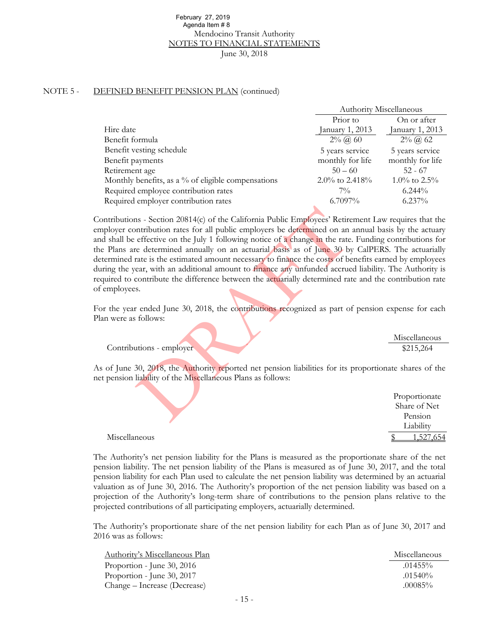#### NOTE 5 - DEFINED BENEFIT PENSION PLAN (continued)

| February 27, 2019                                                                                                                                                                                                                                                                                                                                                                                                                                                                                                                                                                                                                                                                                                                                                                                                                                                                               |                  |                                          |
|-------------------------------------------------------------------------------------------------------------------------------------------------------------------------------------------------------------------------------------------------------------------------------------------------------------------------------------------------------------------------------------------------------------------------------------------------------------------------------------------------------------------------------------------------------------------------------------------------------------------------------------------------------------------------------------------------------------------------------------------------------------------------------------------------------------------------------------------------------------------------------------------------|------------------|------------------------------------------|
| Agenda Item #8                                                                                                                                                                                                                                                                                                                                                                                                                                                                                                                                                                                                                                                                                                                                                                                                                                                                                  |                  |                                          |
| Mendocino Transit Authority                                                                                                                                                                                                                                                                                                                                                                                                                                                                                                                                                                                                                                                                                                                                                                                                                                                                     |                  |                                          |
| <u>NOTES TO FINANCIAL STATEMENTS</u>                                                                                                                                                                                                                                                                                                                                                                                                                                                                                                                                                                                                                                                                                                                                                                                                                                                            |                  |                                          |
| June 30, 2018                                                                                                                                                                                                                                                                                                                                                                                                                                                                                                                                                                                                                                                                                                                                                                                                                                                                                   |                  |                                          |
|                                                                                                                                                                                                                                                                                                                                                                                                                                                                                                                                                                                                                                                                                                                                                                                                                                                                                                 |                  |                                          |
|                                                                                                                                                                                                                                                                                                                                                                                                                                                                                                                                                                                                                                                                                                                                                                                                                                                                                                 |                  |                                          |
| <b>EFINED BENEFIT PENSION PLAN (continued)</b>                                                                                                                                                                                                                                                                                                                                                                                                                                                                                                                                                                                                                                                                                                                                                                                                                                                  |                  |                                          |
|                                                                                                                                                                                                                                                                                                                                                                                                                                                                                                                                                                                                                                                                                                                                                                                                                                                                                                 |                  |                                          |
|                                                                                                                                                                                                                                                                                                                                                                                                                                                                                                                                                                                                                                                                                                                                                                                                                                                                                                 |                  | <b>Authority Miscellaneous</b>           |
|                                                                                                                                                                                                                                                                                                                                                                                                                                                                                                                                                                                                                                                                                                                                                                                                                                                                                                 | Prior to         | On or after                              |
| Hire date                                                                                                                                                                                                                                                                                                                                                                                                                                                                                                                                                                                                                                                                                                                                                                                                                                                                                       | January 1, 2013  | January 1, 2013                          |
| Benefit formula                                                                                                                                                                                                                                                                                                                                                                                                                                                                                                                                                                                                                                                                                                                                                                                                                                                                                 | $2\%$ (a) 60     | $2\%$ (a) 62                             |
| Benefit vesting schedule                                                                                                                                                                                                                                                                                                                                                                                                                                                                                                                                                                                                                                                                                                                                                                                                                                                                        | 5 years service  | 5 years service                          |
| Benefit payments                                                                                                                                                                                                                                                                                                                                                                                                                                                                                                                                                                                                                                                                                                                                                                                                                                                                                | monthly for life | monthly for life                         |
| Retirement age                                                                                                                                                                                                                                                                                                                                                                                                                                                                                                                                                                                                                                                                                                                                                                                                                                                                                  | $50 - 60$        | $52 - 67$                                |
| Monthly benefits, as a % of eligible compensations                                                                                                                                                                                                                                                                                                                                                                                                                                                                                                                                                                                                                                                                                                                                                                                                                                              | 2.0% to 2.418%   | 1.0% to $2.5%$                           |
| Required employee contribution rates                                                                                                                                                                                                                                                                                                                                                                                                                                                                                                                                                                                                                                                                                                                                                                                                                                                            | $7\%$            | 6.244%                                   |
| Required employer contribution rates                                                                                                                                                                                                                                                                                                                                                                                                                                                                                                                                                                                                                                                                                                                                                                                                                                                            | 6.7097%          | $6.237\%$                                |
|                                                                                                                                                                                                                                                                                                                                                                                                                                                                                                                                                                                                                                                                                                                                                                                                                                                                                                 |                  |                                          |
| ontributions - Section 20814(c) of the California Public Employees' Retirement Law requires that the<br>imployer contribution rates for all public employers be determined on an annual basis by the actuary<br>d shall be effective on the July 1 following notice of a change in the rate. Funding contributions for<br>e Plans are determined annually on an actuarial basis as of June 30 by CalPERS. The actuarially<br>extermined rate is the estimated amount necessary to finance the costs of benefits earned by employees<br>tring the year, with an additional amount to finance any unfunded accrued liability. The Authority is<br>quired to contribute the difference between the actuarially determined rate and the contribution rate<br>employees.<br>or the year ended June 30, 2018, the contributions recognized as part of pension expense for each<br>an were as follows: |                  |                                          |
|                                                                                                                                                                                                                                                                                                                                                                                                                                                                                                                                                                                                                                                                                                                                                                                                                                                                                                 |                  | Miscellaneous                            |
| Contributions - employer                                                                                                                                                                                                                                                                                                                                                                                                                                                                                                                                                                                                                                                                                                                                                                                                                                                                        |                  | \$215,264                                |
| is of June 30, 2018, the Authority reported net pension liabilities for its proportionate shares of the<br>et pension liability of the Miscellaneous Plans as follows:                                                                                                                                                                                                                                                                                                                                                                                                                                                                                                                                                                                                                                                                                                                          |                  |                                          |
|                                                                                                                                                                                                                                                                                                                                                                                                                                                                                                                                                                                                                                                                                                                                                                                                                                                                                                 |                  | Proportionate<br>Share of Net<br>Pension |

#### Contributions - employer

|               | Proportionate |
|---------------|---------------|
|               | Share of Net  |
|               | Pension       |
|               | Liability     |
| Miscellaneous |               |

The Authority's net pension liability for the Plans is measured as the proportionate share of the net pension liability. The net pension liability of the Plans is measured as of June 30, 2017, and the total pension liability for each Plan used to calculate the net pension liability was determined by an actuarial valuation as of June 30, 2016. The Authority's proportion of the net pension liability was based on a projection of the Authority's long-term share of contributions to the pension plans relative to the projected contributions of all participating employers, actuarially determined.

The Authority's proportionate share of the net pension liability for each Plan as of June 30, 2017 and 2016 was as follows:

| <b>Authority's Miscellaneous Plan</b> | Miscellaneous |
|---------------------------------------|---------------|
| Proportion - June 30, 2016            | $.01455\%$    |
| Proportion - June 30, 2017            | $.01540\%$    |
| Change – Increase (Decrease)          | $.00085\%$    |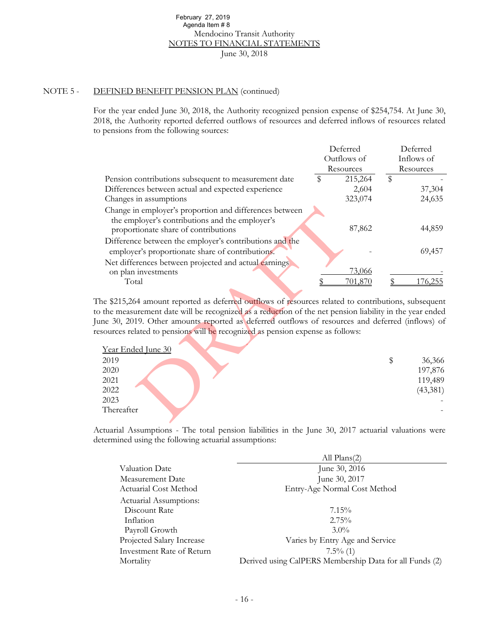#### NOTE 5 - DEFINED BENEFIT PENSION PLAN (continued)

| February 27, 2019                                                                                     |               |               |
|-------------------------------------------------------------------------------------------------------|---------------|---------------|
| Agenda Item #8<br>Mendocino Transit Authority                                                         |               |               |
| <b>NOTES TO FINANCIAL STATEMENTS</b>                                                                  |               |               |
| June 30, 2018                                                                                         |               |               |
|                                                                                                       |               |               |
|                                                                                                       |               |               |
|                                                                                                       |               |               |
| <b>EFINED BENEFIT PENSION PLAN (continued)</b>                                                        |               |               |
|                                                                                                       |               |               |
| or the year ended June 30, 2018, the Authority recognized pension expense of \$254,754. At June 30,   |               |               |
| 18, the Authority reported deferred outflows of resources and deferred inflows of resources related   |               |               |
| pensions from the following sources:                                                                  |               |               |
|                                                                                                       |               |               |
|                                                                                                       | Deferred      | Deferred      |
|                                                                                                       | Outflows of   | Inflows of    |
|                                                                                                       | Resources     | Resources     |
| Pension contributions subsequent to measurement date                                                  | 215,264<br>\$ | \$            |
| Differences between actual and expected experience                                                    | 2,604         | 37,304        |
| Changes in assumptions                                                                                | 323,074       | 24,635        |
| Change in employer's proportion and differences between                                               |               |               |
| the employer's contributions and the employer's                                                       |               |               |
| proportionate share of contributions                                                                  | 87,862        | 44,859        |
|                                                                                                       |               |               |
| Difference between the employer's contributions and the                                               |               |               |
| employer's proportionate share of contributions.                                                      |               | 69,457        |
| Net differences between projected and actual earnings                                                 |               |               |
| on plan investments                                                                                   | 73,066        |               |
| Total                                                                                                 | 701,870       | \$<br>176,255 |
|                                                                                                       |               |               |
| le \$215,264 amount reported as deferred outflows of resources related to contributions, subsequent   |               |               |
| the measurement date will be recognized as a reduction of the net pension liability in the year ended |               |               |
| ne 30, 2019. Other amounts reported as deferred outflows of resources and deferred (inflows) of       |               |               |
| sources related to pensions will be recognized as pension expense as follows:                         |               |               |
|                                                                                                       |               |               |
| Year Ended June 30                                                                                    |               |               |
| 2019                                                                                                  |               | \$<br>36,366  |
| 2020                                                                                                  |               | 197,876       |
| 2021                                                                                                  |               | 119,489       |
| 2022                                                                                                  |               | (43,381)      |
| 2023                                                                                                  |               |               |
| Thereafter                                                                                            |               |               |
|                                                                                                       |               |               |

| Year Ended June 30 |           |
|--------------------|-----------|
| 2019               | 36,366    |
| 2020               | 197,876   |
| 2021               | 119,489   |
| 2022               | (43, 381) |
| 2023               |           |
| Thereafter         |           |

Actuarial Assumptions - The total pension liabilities in the June 30, 2017 actuarial valuations were determined using the following actuarial assumptions:

|                           | All $Plans(2)$                                          |
|---------------------------|---------------------------------------------------------|
| Valuation Date            | June 30, 2016                                           |
| Measurement Date          | June 30, 2017                                           |
| Actuarial Cost Method     | Entry-Age Normal Cost Method                            |
| Actuarial Assumptions:    |                                                         |
| Discount Rate             | $7.15\%$                                                |
| Inflation                 | $2.75\%$                                                |
| Payroll Growth            | $3.0\%$                                                 |
| Projected Salary Increase | Varies by Entry Age and Service                         |
| Investment Rate of Return | $7.5\%$ (1)                                             |
| Mortality                 | Derived using CalPERS Membership Data for all Funds (2) |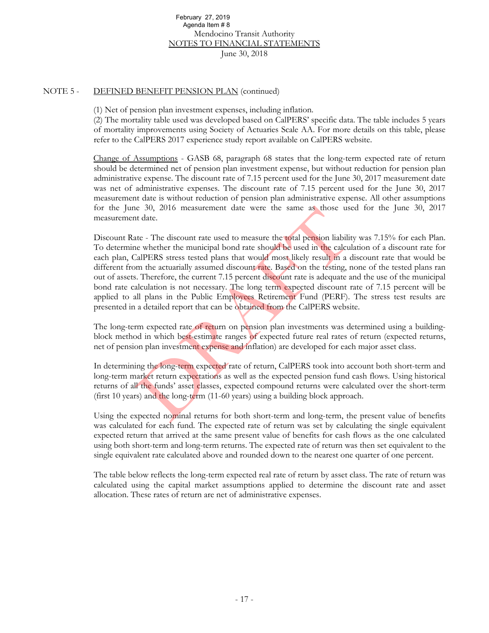#### NOTE 5 - DEFINED BENEFIT PENSION PLAN (continued)

(1) Net of pension plan investment expenses, including inflation.

(2) The mortality table used was developed based on CalPERS' specific data. The table includes 5 years of mortality improvements using Society of Actuaries Scale AA. For more details on this table, please refer to the CalPERS 2017 experience study report available on CalPERS website.

Change of Assumptions - GASB 68, paragraph 68 states that the long-term expected rate of return should be determined net of pension plan investment expense, but without reduction for pension plan administrative expense. The discount rate of 7.15 percent used for the June 30, 2017 measurement date was net of administrative expenses. The discount rate of 7.15 percent used for the June 30, 2017 measurement date is without reduction of pension plan administrative expense. All other assumptions for the June 30, 2016 measurement date were the same as those used for the June 30, 2017 measurement date.

Discount Rate - The discount rate used to measure the total pension liability was 7.15% for each Plan. To determine whether the municipal bond rate should be used in the calculation of a discount rate for each plan, CalPERS stress tested plans that would most likely result in a discount rate that would be different from the actuarially assumed discount rate. Based on the testing, none of the tested plans ran out of assets. Therefore, the current 7.15 percent discount rate is adequate and the use of the municipal bond rate calculation is not necessary. The long term expected discount rate of 7.15 percent will be applied to all plans in the Public Employees Retirement Fund (PERF). The stress test results are presented in a detailed report that can be obtained from the CalPERS website. February 27, 2016<br>
Agenda Item #8<br>
Mendocion Transit Authority<br>
Nerdocion Tamsit Authority<br>
Nerdocion Transit Authority<br>
June 30, 2018<br>
BENEFIT PENSION PLAN (continued)<br>
ension plan investment expenses, including inflation

The long-term expected rate of return on pension plan investments was determined using a buildingblock method in which best-estimate ranges of expected future real rates of return (expected returns, net of pension plan investment expense and inflation) are developed for each major asset class.

In determining the long-term expected rate of return, CalPERS took into account both short-term and long-term market return expectations as well as the expected pension fund cash flows. Using historical returns of all the funds' asset classes, expected compound returns were calculated over the short-term (first 10 years) and the long-term (11-60 years) using a building block approach.

Using the expected nominal returns for both short-term and long-term, the present value of benefits was calculated for each fund. The expected rate of return was set by calculating the single equivalent expected return that arrived at the same present value of benefits for cash flows as the one calculated using both short-term and long-term returns. The expected rate of return was then set equivalent to the single equivalent rate calculated above and rounded down to the nearest one quarter of one percent.

The table below reflects the long-term expected real rate of return by asset class. The rate of return was calculated using the capital market assumptions applied to determine the discount rate and asset allocation. These rates of return are net of administrative expenses.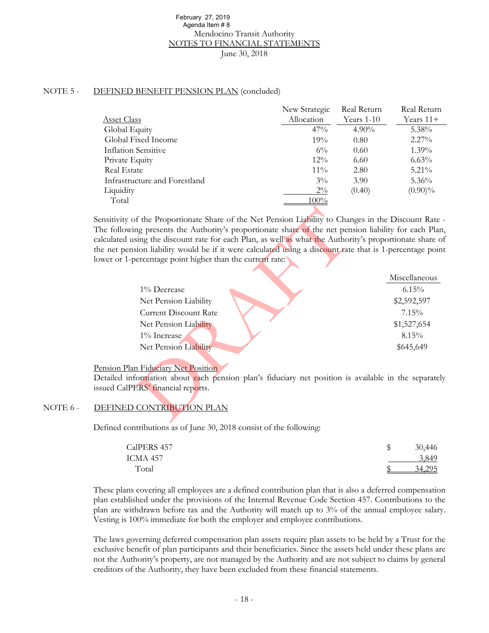#### NOTE 5 - DEFINED BENEFIT PENSION PLAN (concluded)

| February 27, 2019                                                                                                                                                                                                                                                                                                                                                                         |               |             |               |
|-------------------------------------------------------------------------------------------------------------------------------------------------------------------------------------------------------------------------------------------------------------------------------------------------------------------------------------------------------------------------------------------|---------------|-------------|---------------|
| Agenda Item #8<br>Mendocino Transit Authority                                                                                                                                                                                                                                                                                                                                             |               |             |               |
| <b>NOTES TO FINANCIAL STATEMENTS</b>                                                                                                                                                                                                                                                                                                                                                      |               |             |               |
| June 30, 2018                                                                                                                                                                                                                                                                                                                                                                             |               |             |               |
|                                                                                                                                                                                                                                                                                                                                                                                           |               |             |               |
|                                                                                                                                                                                                                                                                                                                                                                                           |               |             |               |
|                                                                                                                                                                                                                                                                                                                                                                                           |               |             |               |
| <b>EFINED BENEFIT PENSION PLAN (concluded)</b>                                                                                                                                                                                                                                                                                                                                            |               |             |               |
|                                                                                                                                                                                                                                                                                                                                                                                           | New Strategic | Real Return | Real Return   |
| <b>Asset Class</b>                                                                                                                                                                                                                                                                                                                                                                        | Allocation    | Years 1-10  | Years 11+     |
| Global Equity                                                                                                                                                                                                                                                                                                                                                                             | 47%           | $4.90\%$    | 5.38%         |
| Global Fixed Income                                                                                                                                                                                                                                                                                                                                                                       | 19%           | 0.80        | 2.27%         |
| <b>Inflation Sensitive</b>                                                                                                                                                                                                                                                                                                                                                                | $6\%$         | 0.60        | 1.39%         |
| Private Equity                                                                                                                                                                                                                                                                                                                                                                            | 12%           | 6.60        | 6.63%         |
| <b>Real Estate</b>                                                                                                                                                                                                                                                                                                                                                                        | $11\%$        | 2.80        | 5.21%         |
| Infrastructure and Forestland                                                                                                                                                                                                                                                                                                                                                             | $3\%$         | 3.90        | 5.36%         |
| Liquidity                                                                                                                                                                                                                                                                                                                                                                                 | $2\%$         | (0.40)      | $(0.90)\%$    |
| Total                                                                                                                                                                                                                                                                                                                                                                                     | 100%          |             |               |
| the following presents the Authority's proportionate share of the net pension liability for each Plan,<br>alculated using the discount rate for each Plan, as well as what the Authority's proportionate share of<br>ne net pension liability would be if it were calculated using a discount rate that is 1-percentage point<br>ower or 1-percentage point higher than the current rate: |               |             |               |
|                                                                                                                                                                                                                                                                                                                                                                                           |               |             | Miscellaneous |
| 1% Decrease                                                                                                                                                                                                                                                                                                                                                                               |               |             | 6.15%         |
| Net Pension Liability                                                                                                                                                                                                                                                                                                                                                                     |               |             | \$2,592,597   |
| <b>Current Discount Rate</b>                                                                                                                                                                                                                                                                                                                                                              |               |             | 7.15%         |
| Net Pension Liability                                                                                                                                                                                                                                                                                                                                                                     |               |             | \$1,527,654   |
| 1% Increase                                                                                                                                                                                                                                                                                                                                                                               |               |             | 8.15%         |
| Net Pension Liability                                                                                                                                                                                                                                                                                                                                                                     |               |             | \$645,649     |
|                                                                                                                                                                                                                                                                                                                                                                                           |               |             |               |
| ension Plan Fiduciary Net Position<br>Detailed information about each pension plan's fiduciary net position is available in the separately<br>sued CalPERS' financial reports.                                                                                                                                                                                                            |               |             |               |
| DEFINED CONTRIBUTION PLAN                                                                                                                                                                                                                                                                                                                                                                 |               |             |               |
|                                                                                                                                                                                                                                                                                                                                                                                           |               |             |               |

|                              | Miscellaneous |
|------------------------------|---------------|
| 1% Decrease                  | $6.15\%$      |
| Net Pension Liability        | \$2,592,597   |
| <b>Current Discount Rate</b> | 7.15%         |
| Net Pension Liability        | \$1,527,654   |
| $1\%$ Increase               | 8.15%         |
| Net Pension Liability        | \$645,649     |
|                              |               |

#### Pension Plan Fiduciary Net Position

#### NOTE 6 - DEFINED CONTRIBUTION PLAN

Defined contributions as of June 30, 2018 consist of the following:

| CalPERS 457 | 30,446 |
|-------------|--------|
| ICMA 457    | 3.849  |
| Total       | 34.295 |

These plans covering all employees are a defined contribution plan that is also a deferred compensation plan established under the provisions of the Internal Revenue Code Section 457. Contributions to the plan are withdrawn before tax and the Authority will match up to 3% of the annual employee salary. Vesting is 100% immediate for both the employer and employee contributions.

The laws governing deferred compensation plan assets require plan assets to be held by a Trust for the exclusive benefit of plan participants and their beneficiaries. Since the assets held under these plans are not the Authority's property, are not managed by the Authority and are not subject to claims by general creditors of the Authority, they have been excluded from these financial statements.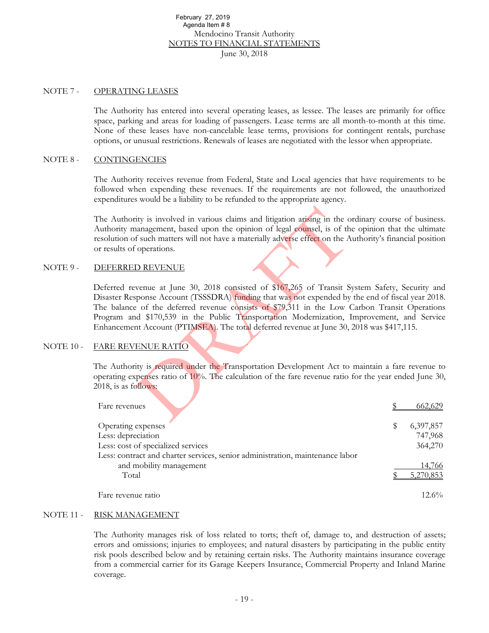#### NOTE 7 - OPERATING LEASES

The Authority has entered into several operating leases, as lessee. The leases are primarily for office space, parking and areas for loading of passengers. Lease terms are all month-to-month at this time. None of these leases have non-cancelable lease terms, provisions for contingent rentals, purchase options, or unusual restrictions. Renewals of leases are negotiated with the lessor when appropriate.

#### NOTE 8 - CONTINGENCIES

The Authority receives revenue from Federal, State and Local agencies that have requirements to be followed when expending these revenues. If the requirements are not followed, the unauthorized expenditures would be a liability to be refunded to the appropriate agency.

The Authority is involved in various claims and litigation arising in the ordinary course of business. Authority management, based upon the opinion of legal counsel, is of the opinion that the ultimate resolution of such matters will not have a materially adverse effect on the Authority's financial position or results of operations.

#### NOTE 9 - DEFERRED REVENUE

Deferred revenue at June 30, 2018 consisted of \$167,265 of Transit System Safety, Security and Disaster Response Account (TSSSDRA) funding that was not expended by the end of fiscal year 2018. The balance of the deferred revenue consists of \$79,311 in the Low Carbon Transit Operations Program and \$170,539 in the Public Transportation Modernization, Improvement, and Service Enhancement Account (PTIMSEA). The total deferred revenue at June 30, 2018 was \$417,115. February 27, 2019<br>
Agenda Item #8<br>
Mendocion Transit Authority<br>
Northcoin o Transit Authority<br>
Northcoin Charlotter and the 30, 2018<br>
SG LEASES<br>
riv has entered into several operating leases, as lessee. The lead<br>
nonsula r

#### NOTE 10 - FARE REVENUE RATIO

The Authority is required under the Transportation Development Act to maintain a fare revenue to operating expenses ratio of  $10\%$ . The calculation of the fare revenue ratio for the year ended June 30, 2018, is as follows:

| Fare revenues                                                                 |           |
|-------------------------------------------------------------------------------|-----------|
| Operating expenses                                                            | 6,397,857 |
| Less: depreciation                                                            | 747,968   |
| Less: cost of specialized services                                            | 364,270   |
| Less: contract and charter services, senior administration, maintenance labor |           |
| and mobility management                                                       | 14,766    |
| Total                                                                         | 5.270,853 |
| Fare revenue ratio                                                            | $12.6\%$  |

#### NOTE 11 - RISK MANAGEMENT

The Authority manages risk of loss related to torts; theft of, damage to, and destruction of assets; errors and omissions; injuries to employees; and natural disasters by participating in the public entity risk pools described below and by retaining certain risks. The Authority maintains insurance coverage from a commercial carrier for its Garage Keepers Insurance, Commercial Property and Inland Marine coverage.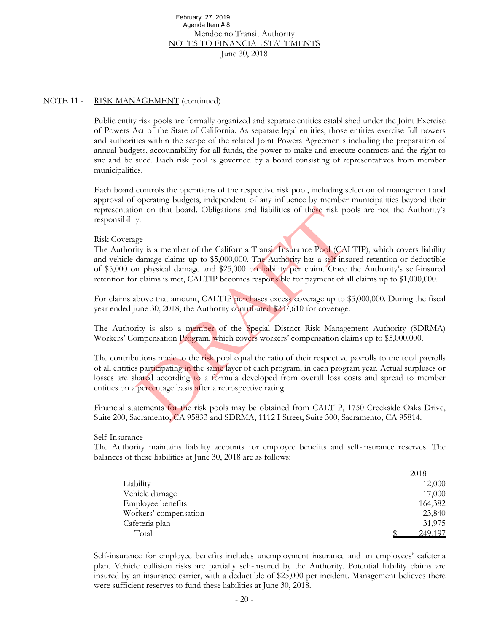#### NOTE 11 - RISK MANAGEMENT (continued)

Public entity risk pools are formally organized and separate entities established under the Joint Exercise of Powers Act of the State of California. As separate legal entities, those entities exercise full powers and authorities within the scope of the related Joint Powers Agreements including the preparation of annual budgets, accountability for all funds, the power to make and execute contracts and the right to sue and be sued. Each risk pool is governed by a board consisting of representatives from member municipalities. February 27, 2019<br>
Mendolatom #8<br>
Mendolatom #8<br>
Mendolatom 18<br>
Mendolatom Tansit Authority<br>
June 30, 2018<br>
(AGEMENT (continued)<br>
June 30, 2018<br>
ALGEMENT (continued)<br>
ALGEMENT (continued)<br>
ALGEMENT (continued)<br>
ALGEMENT (c

Each board controls the operations of the respective risk pool, including selection of management and approval of operating budgets, independent of any influence by member municipalities beyond their representation on that board. Obligations and liabilities of these risk pools are not the Authority's responsibility.

#### Risk Coverage

The Authority is a member of the California Transit Insurance Pool (CALTIP), which covers liability and vehicle damage claims up to \$5,000,000. The Authority has a self-insured retention or deductible of \$5,000 on physical damage and \$25,000 on liability per claim. Once the Authority's self-insured retention for claims is met, CALTIP becomes responsible for payment of all claims up to \$1,000,000.

For claims above that amount, CALTIP purchases excess coverage up to \$5,000,000. During the fiscal year ended June 30, 2018, the Authority contributed \$207,610 for coverage.

The Authority is also a member of the Special District Risk Management Authority (SDRMA) Workers' Compensation Program, which covers workers' compensation claims up to \$5,000,000.

The contributions made to the risk pool equal the ratio of their respective payrolls to the total payrolls of all entities participating in the same layer of each program, in each program year. Actual surpluses or losses are shared according to a formula developed from overall loss costs and spread to member entities on a percentage basis after a retrospective rating.

Financial statements for the risk pools may be obtained from CALTIP, 1750 Creekside Oaks Drive, Suite 200, Sacramento, CA 95833 and SDRMA, 1112 I Street, Suite 300, Sacramento, CA 95814.

#### Self-Insurance

The Authority maintains liability accounts for employee benefits and self-insurance reserves. The balances of these liabilities at June 30, 2018 are as follows:

|                       | 2018    |
|-----------------------|---------|
| Liability             | 12,000  |
| Vehicle damage        | 17,000  |
| Employee benefits     | 164,382 |
| Workers' compensation | 23,840  |
| Cafeteria plan        | 31,975  |
| Total                 | 249,197 |

Self-insurance for employee benefits includes unemployment insurance and an employees' cafeteria plan. Vehicle collision risks are partially self-insured by the Authority. Potential liability claims are insured by an insurance carrier, with a deductible of \$25,000 per incident. Management believes there were sufficient reserves to fund these liabilities at June 30, 2018.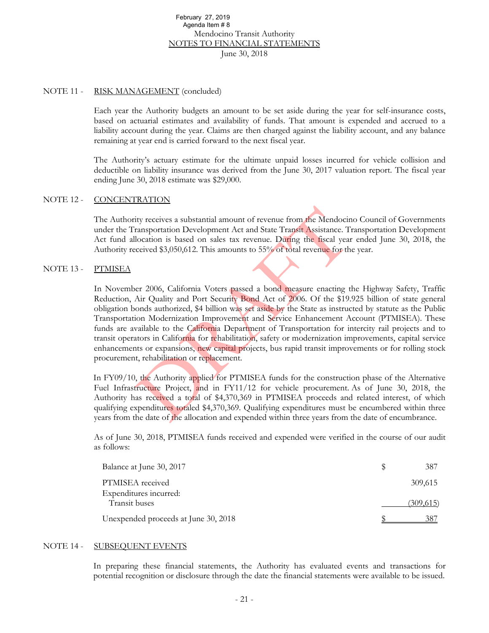#### NOTE 11 - RISK MANAGEMENT (concluded)

Each year the Authority budgets an amount to be set aside during the year for self-insurance costs, based on actuarial estimates and availability of funds. That amount is expended and accrued to a liability account during the year. Claims are then charged against the liability account, and any balance remaining at year end is carried forward to the next fiscal year.

The Authority's actuary estimate for the ultimate unpaid losses incurred for vehicle collision and deductible on liability insurance was derived from the June 30, 2017 valuation report. The fiscal year ending June 30, 2018 estimate was \$29,000.

#### NOTE 12 - CONCENTRATION

The Authority receives a substantial amount of revenue from the Mendocino Council of Governments under the Transportation Development Act and State Transit Assistance. Transportation Development Act fund allocation is based on sales tax revenue. During the fiscal year ended June 30, 2018, the Authority received \$3,050,612. This amounts to 55% of total revenue for the year.

#### NOTE 13 - PTMISEA

In November 2006, California Voters passed a bond measure enacting the Highway Safety, Traffic Reduction, Air Quality and Port Security Bond Act of 2006. Of the \$19.925 billion of state general obligation bonds authorized, \$4 billion was set aside by the State as instructed by statute as the Public Transportation Modernization Improvement and Service Enhancement Account (PTMISEA). These funds are available to the California Department of Transportation for intercity rail projects and to transit operators in California for rehabilitation, safety or modernization improvements, capital service enhancements or expansions, new capital projects, bus rapid transit improvements or for rolling stock procurement, rehabilitation or replacement. February 27, 2019<br>
Mendoloro Transit Authority<br>
Mendoloro Transit Authority<br>
NeroCorn Transit Authority<br>
June 30, 2018<br>
AGEMENT (concluded)<br>
the Authority budgets an amount to be set aside during the year<br>
cutarial estimat

In FY09/10, the Authority applied for PTMISEA funds for the construction phase of the Alternative Fuel Infrastructure Project, and in FY11/12 for vehicle procurement. As of June 30, 2018, the Authority has received a total of \$4,370,369 in PTMISEA proceeds and related interest, of which qualifying expenditures totaled \$4,370,369. Qualifying expenditures must be encumbered within three years from the date of the allocation and expended within three years from the date of encumbrance.

As of June 30, 2018, PTMISEA funds received and expended were verified in the course of our audit as follows:

| Balance at June 30, 2017                | 387       |
|-----------------------------------------|-----------|
| PTMISEA received                        | 309,615   |
| Expenditures incurred:<br>Transit buses | (309,615) |
| Unexpended proceeds at June 30, 2018    |           |

#### NOTE 14 - SUBSEQUENT EVENTS

In preparing these financial statements, the Authority has evaluated events and transactions for potential recognition or disclosure through the date the financial statements were available to be issued.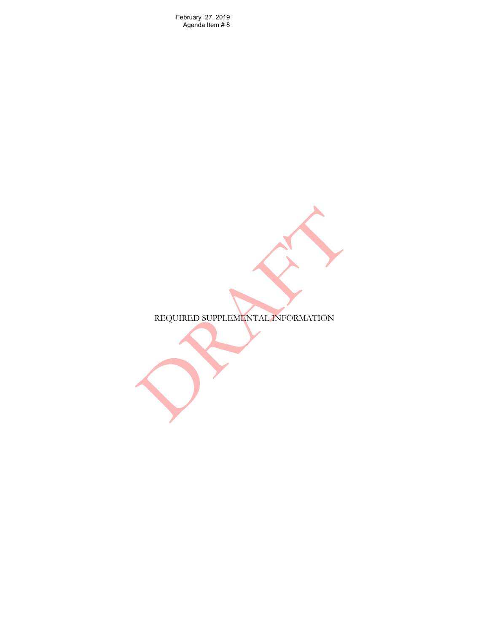February 27, 2019<br>Agenda Item # 8

REQUIRED SUPPLEMENTAL INFORMATION February 27, 2019<br>Agenda Item # 8<br>REQUIRED SUPPLEMENTALLANFORMATION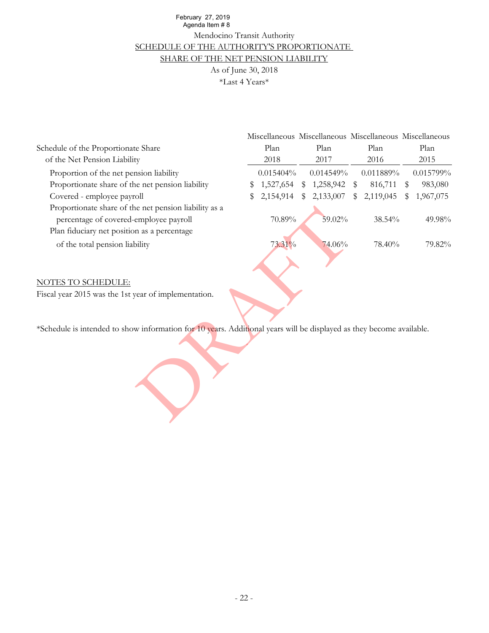# Mendocino Transit Authority As of June 30, 2018 SCHEDULE OF THE AUTHORITY'S PROPORTIONATE SHARE OF THE NET PENSION LIABILITY Agenda Item # 8

| February 27, 2019                                                                                                    |    |           |    |                                                         |    |           |      |           |
|----------------------------------------------------------------------------------------------------------------------|----|-----------|----|---------------------------------------------------------|----|-----------|------|-----------|
| Agenda Item #8<br>Mendocino Transit Authority                                                                        |    |           |    |                                                         |    |           |      |           |
|                                                                                                                      |    |           |    |                                                         |    |           |      |           |
| SCHEDULE OF THE AUTHORITY'S PROPORTIONATE<br>SHARE OF THE NET PENSION LIABILITY                                      |    |           |    |                                                         |    |           |      |           |
| As of June 30, 2018                                                                                                  |    |           |    |                                                         |    |           |      |           |
|                                                                                                                      |    |           |    |                                                         |    |           |      |           |
| *Last 4 Years*                                                                                                       |    |           |    |                                                         |    |           |      |           |
|                                                                                                                      |    |           |    |                                                         |    |           |      |           |
|                                                                                                                      |    |           |    |                                                         |    |           |      |           |
|                                                                                                                      |    |           |    |                                                         |    |           |      |           |
|                                                                                                                      |    |           |    | Miscellaneous Miscellaneous Miscellaneous Miscellaneous |    |           |      |           |
| Schedule of the Proportionate Share                                                                                  |    | Plan      |    | Plan                                                    |    | Plan      |      | Plan      |
| of the Net Pension Liability                                                                                         |    | 2018      |    | 2017                                                    |    | 2016      |      | 2015      |
| Proportion of the net pension liability                                                                              |    | 0.015404% |    | 0.014549%                                               |    | 0.011889% |      | 0.015799% |
| Proportionate share of the net pension liability                                                                     | \$ | 1,527,654 |    | \$1,258,942                                             | \$ | 816,711   | - \$ | 983,080   |
| Covered - employee payroll                                                                                           | \$ | 2,154,914 | \$ | 2,133,007                                               | \$ | 2,119,045 | \$   | 1,967,075 |
| Proportionate share of the net pension liability as a                                                                |    |           |    |                                                         |    |           |      |           |
| percentage of covered-employee payroll                                                                               |    | 70.89%    |    | 59.02%                                                  |    | 38.54%    |      | 49.98%    |
| Plan fiduciary net position as a percentage                                                                          |    |           |    |                                                         |    |           |      |           |
| of the total pension liability                                                                                       |    | 73.31%    |    | 74.06%                                                  |    | 78.40%    |      | 79.82%    |
|                                                                                                                      |    |           |    |                                                         |    |           |      |           |
|                                                                                                                      |    |           |    |                                                         |    |           |      |           |
|                                                                                                                      |    |           |    |                                                         |    |           |      |           |
| <b>NOTES TO SCHEDULE:</b>                                                                                            |    |           |    |                                                         |    |           |      |           |
| Fiscal year 2015 was the 1st year of implementation.                                                                 |    |           |    |                                                         |    |           |      |           |
|                                                                                                                      |    |           |    |                                                         |    |           |      |           |
|                                                                                                                      |    |           |    |                                                         |    |           |      |           |
| *Schedule is intended to show information for 10 years. Additional years will be displayed as they become available. |    |           |    |                                                         |    |           |      |           |
|                                                                                                                      |    |           |    |                                                         |    |           |      |           |
|                                                                                                                      |    |           |    |                                                         |    |           |      |           |
|                                                                                                                      |    |           |    |                                                         |    |           |      |           |
|                                                                                                                      |    |           |    |                                                         |    |           |      |           |
|                                                                                                                      |    |           |    |                                                         |    |           |      |           |
|                                                                                                                      |    |           |    |                                                         |    |           |      |           |
|                                                                                                                      |    |           |    |                                                         |    |           |      |           |
|                                                                                                                      |    |           |    |                                                         |    |           |      |           |

#### NOTES TO SCHEDULE: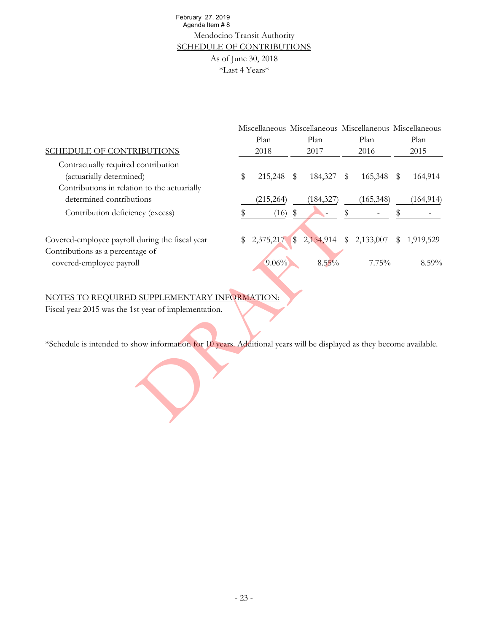# Mendocino Transit Authority As of June 30, 2018 \*Last 4 Years\* SCHEDULE OF CONTRIBUTIONS Agenda Item # 8

| February 27, 2019<br>Agenda Item #8<br>Mendocino Transit Authority                                                   |    |                     |              |                                                         |    |            |    |            |
|----------------------------------------------------------------------------------------------------------------------|----|---------------------|--------------|---------------------------------------------------------|----|------------|----|------------|
| <b>SCHEDULE OF CONTRIBUTIONS</b>                                                                                     |    |                     |              |                                                         |    |            |    |            |
|                                                                                                                      |    | As of June 30, 2018 |              |                                                         |    |            |    |            |
|                                                                                                                      |    | *Last 4 Years*      |              |                                                         |    |            |    |            |
|                                                                                                                      |    |                     |              |                                                         |    |            |    |            |
|                                                                                                                      |    |                     |              |                                                         |    |            |    |            |
|                                                                                                                      |    |                     |              |                                                         |    |            |    |            |
|                                                                                                                      |    |                     |              | Miscellaneous Miscellaneous Miscellaneous Miscellaneous |    |            |    |            |
|                                                                                                                      |    | Plan                |              | Plan                                                    |    | Plan       |    | Plan       |
| <b>SCHEDULE OF CONTRIBUTIONS</b>                                                                                     |    | 2018                |              | 2017                                                    |    | 2016       |    | 2015       |
| Contractually required contribution                                                                                  |    |                     |              |                                                         |    |            |    |            |
| (actuarially determined)                                                                                             | \$ | 215,248             | $\mathbb{S}$ | 184,327                                                 | \$ | 165,348    | \$ | 164,914    |
| Contributions in relation to the actuarially                                                                         |    |                     |              |                                                         |    |            |    |            |
| determined contributions                                                                                             |    | (215, 264)          |              | (184, 327)                                              |    | (165, 348) |    | (164, 914) |
| Contribution deficiency (excess)                                                                                     | \$ | (16)                | $\,$         |                                                         | \$ |            | \$ |            |
|                                                                                                                      |    |                     |              |                                                         |    |            |    |            |
| Covered-employee payroll during the fiscal year                                                                      | \$ | 2,375,217           | $\sqrt{3}$   | 2,154,914                                               | \$ | 2,133,007  | S  | 1,919,529  |
| Contributions as a percentage of                                                                                     |    |                     |              |                                                         |    |            |    |            |
| covered-employee payroll                                                                                             |    | 9.06%               |              | $8.55\%$                                                |    | 7.75%      |    | 8.59%      |
|                                                                                                                      |    |                     |              |                                                         |    |            |    |            |
|                                                                                                                      |    |                     |              |                                                         |    |            |    |            |
| NOTES TO REQUIRED SUPPLEMENTARY INFORMATION:                                                                         |    |                     |              |                                                         |    |            |    |            |
| Fiscal year 2015 was the 1st year of implementation.                                                                 |    |                     |              |                                                         |    |            |    |            |
|                                                                                                                      |    |                     |              |                                                         |    |            |    |            |
| *Schedule is intended to show information for 10 years. Additional years will be displayed as they become available. |    |                     |              |                                                         |    |            |    |            |
|                                                                                                                      |    |                     |              |                                                         |    |            |    |            |
|                                                                                                                      |    |                     |              |                                                         |    |            |    |            |
|                                                                                                                      |    |                     |              |                                                         |    |            |    |            |

## NOTES TO REQUIRED SUPPLEMENTARY INFORMATION: